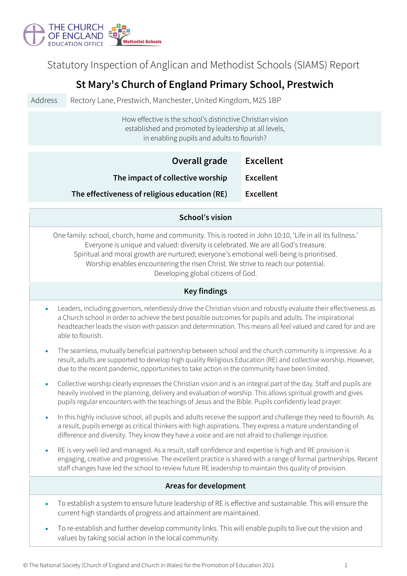

Statutory Inspection of Anglican and Methodist Schools (SIAMS) Report

# **St Mary's Church of England Primary School, Prestwich**

Address Rectory Lane, Prestwich, Manchester, United Kingdom, M25 1BP

How effective is the school's distinctive Christian vision established and promoted by leadership at all levels, in enabling pupils and adults to flourish?

| Overall grade                                 | <b>Excellent</b> |
|-----------------------------------------------|------------------|
| The impact of collective worship              | <b>Excellent</b> |
| The effectiveness of religious education (RE) | <b>Excellent</b> |

### **School's vision**

One family: school, church, home and community. This is rooted in John 10:10, 'Life in all its fullness.' Everyone is unique and valued: diversity is celebrated. We are all God's treasure. Spiritual and moral growth are nurtured; everyone's emotional well-being is prioritised. Worship enables encountering the risen Christ. We strive to reach our potential. Developing global citizens of God.

## **Key findings**

- Leaders, including governors, relentlessly drive the Christian vision and robustly evaluate their effectiveness as a Church school in order to achieve the best possible outcomes for pupils and adults. The inspirational headteacher leads the vision with passion and determination. This means all feel valued and cared for and are able to flourish.
- The seamless, mutually beneficial partnership between school and the church community is impressive. As a result, adults are supported to develop high quality Religious Education (RE) and collective worship. However, due to the recent pandemic, opportunities to take action in the community have been limited.
- Collective worship clearly expresses the Christian vision and is an integral part of the day. Staff and pupils are heavily involved in the planning, delivery and evaluation of worship. This allows spiritual growth and gives pupils regular encounters with the teachings of Jesus and the Bible. Pupils confidently lead prayer.
- In this highly inclusive school, all pupils and adults receive the support and challenge they need to flourish. As a result, pupils emerge as critical thinkers with high aspirations. They express a mature understanding of difference and diversity. They know they have a voice and are not afraid to challenge injustice.
- RE is very well-led and managed. As a result, staff confidence and expertise is high and RE provision is engaging, creative and progressive. The excellent practice is shared with a range of formal partnerships. Recent staff changes have led the school to review future RE leadership to maintain this quality of provision.

### **Areas for development**

- To establish a system to ensure future leadership of RE is effective and sustainable. This will ensure the current high standards of progress and attainment are maintained.
- To re-establish and further develop community links. This will enable pupils to live out the vision and values by taking social action in the local community.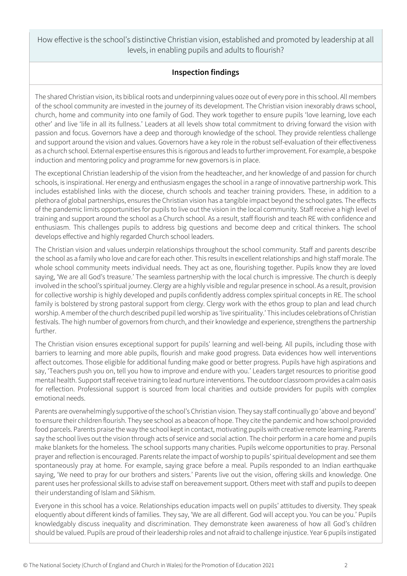How effective is the school's distinctive Christian vision, established and promoted by leadership at all levels, in enabling pupils and adults to flourish?

# **Inspection findings**

The shared Christian vision, its biblical roots and underpinning values ooze out of every pore in this school. All members of the school community are invested in the journey of its development. The Christian vision inexorably draws school, church, home and community into one family of God. They work together to ensure pupils 'love learning, love each other' and live 'life in all its fullness.' Leaders at all levels show total commitment to driving forward the vision with passion and focus. Governors have a deep and thorough knowledge of the school. They provide relentless challenge and support around the vision and values. Governors have a key role in the robust self-evaluation of their effectiveness as a church school. External expertise ensures this is rigorous and leads to further improvement. For example, a bespoke induction and mentoring policy and programme for new governors is in place.

The exceptional Christian leadership of the vision from the headteacher, and her knowledge of and passion for church schools, is inspirational. Her energy and enthusiasm engages the school in a range of innovative partnership work. This includes established links with the diocese, church schools and teacher training providers. These, in addition to a plethora of global partnerships, ensures the Christian vision has a tangible impact beyond the school gates. The effects of the pandemic limits opportunities for pupils to live out the vision in the local community. Staff receive a high level of training and support around the school as a Church school. As a result, staff flourish and teach RE with confidence and enthusiasm. This challenges pupils to address big questions and become deep and critical thinkers. The school develops effective and highly regarded Church school leaders.

The Christian vision and values underpin relationships throughout the school community. Staff and parents describe the school as a family who love and care for each other. This results in excellent relationships and high staff morale. The whole school community meets individual needs. They act as one, flourishing together. Pupils know they are loved saying, 'We are all God's treasure.' The seamless partnership with the local church is impressive. The church is deeply involved in the school's spiritual journey. Clergy are a highly visible and regular presence in school. As a result, provision for collective worship is highly developed and pupils confidently address complex spiritual concepts in RE. The school family is bolstered by strong pastoral support from clergy. Clergy work with the ethos group to plan and lead church worship. A member of the church described pupil led worship as 'live spirituality.' This includes celebrations of Christian festivals. The high number of governors from church, and their knowledge and experience, strengthens the partnership further.

The Christian vision ensures exceptional support for pupils' learning and well-being. All pupils, including those with barriers to learning and more able pupils, flourish and make good progress. Data evidences how well interventions affect outcomes. Those eligible for additional funding make good or better progress. Pupils have high aspirations and say, 'Teachers push you on, tell you how to improve and endure with you.' Leaders target resources to prioritise good mental health. Support staff receive training to lead nurture interventions. The outdoor classroom provides a calm oasis for reflection. Professional support is sourced from local charities and outside providers for pupils with complex emotional needs.

Parents are overwhelmingly supportive of the school's Christian vision. They say staff continually go 'above and beyond' to ensure their children flourish. They see school as a beacon of hope. They cite the pandemic and how school provided food parcels. Parents praise the way the school kept in contact, motivating pupils with creative remote learning. Parents say the school lives out the vision through acts of service and social action. The choir perform in a care home and pupils make blankets for the homeless. The school supports many charities. Pupils welcome opportunities to pray. Personal prayer and reflection is encouraged. Parents relate the impact of worship to pupils' spiritual development and see them spontaneously pray at home. For example, saying grace before a meal. Pupils responded to an Indian earthquake saying, 'We need to pray for our brothers and sisters.' Parents live out the vision, offering skills and knowledge. One parent uses her professional skills to advise staff on bereavement support. Others meet with staff and pupils to deepen their understanding of Islam and Sikhism.

Everyone in this school has a voice. Relationships education impacts well on pupils' attitudes to diversity. They speak eloquently about different kinds of families. They say, 'We are all different. God will accept you. You can be you.' Pupils knowledgably discuss inequality and discrimination. They demonstrate keen awareness of how all God's children should be valued. Pupils are proud of their leadership roles and not afraid to challenge injustice. Year 6 pupils instigated